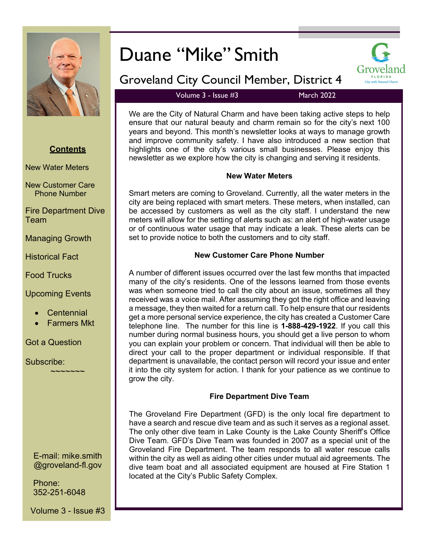

### **Contents**

New Water Meters

New Customer Care Phone Number

Fire Department Dive Team

Managing Growth

Historical Fact

Food Trucks

#### Upcoming Events

- **Centennial**
- Farmers Mkt

~~~~~~~

#### Got a Question

Subscribe:

E-mail: mike.smith @groveland-fl.gov

Phone: 352-251-6048

Volume 3 - Issue #3

# Duane "Mike" Smith



## Groveland City Council Member, District 4

Volume  $3 -$  Issue  $\#3$  March 2022

We are the City of Natural Charm and have been taking active steps to help ensure that our natural beauty and charm remain so for the city's next 100 years and beyond. This month's newsletter looks at ways to manage growth and improve community safety. I have also introduced a new section that highlights one of the city's various small businesses. Please enjoy this newsletter as we explore how the city is changing and serving it residents.

#### **New Water Meters**

Smart meters are coming to Groveland. Currently, all the water meters in the city are being replaced with smart meters. These meters, when installed, can be accessed by customers as well as the city staff. I understand the new meters will allow for the setting of alerts such as: an alert of high-water usage or of continuous water usage that may indicate a leak. These alerts can be set to provide notice to both the customers and to city staff.

#### **New Customer Care Phone Number**

A number of different issues occurred over the last few months that impacted many of the city's residents. One of the lessons learned from those events was when someone tried to call the city about an issue, sometimes all they received was a voice mail. After assuming they got the right office and leaving a message, they then waited for a return call. To help ensure that our residents get a more personal service experience, the city has created a Customer Care telephone line. The number for this line is **1-888-429-1922**. If you call this number during normal business hours, you should get a live person to whom you can explain your problem or concern. That individual will then be able to direct your call to the proper department or individual responsible. If that department is unavailable, the contact person will record your issue and enter it into the city system for action. I thank for your patience as we continue to grow the city.

#### **Fire Department Dive Team**

The Groveland Fire Department (GFD) is the only local fire department to have a search and rescue dive team and as such it serves as a regional asset. The only other dive team in Lake County is the Lake County Sheriff's Office Dive Team. GFD's Dive Team was founded in 2007 as a special unit of the Groveland Fire Department. The team responds to all water rescue calls within the city as well as aiding other cities under mutual aid agreements. The dive team boat and all associated equipment are housed at Fire Station 1 located at the City's Public Safety Complex.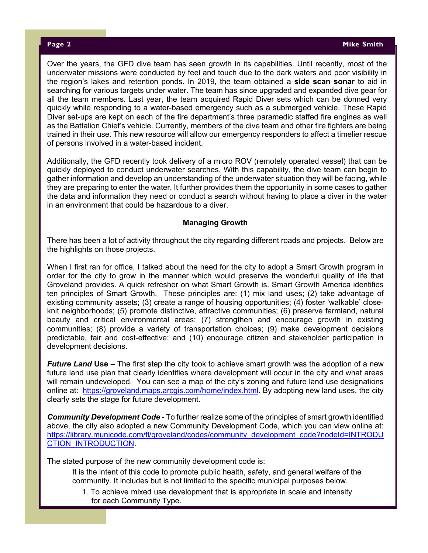Over the years, the GFD dive team has seen growth in its capabilities. Until recently, most of the underwater missions were conducted by feel and touch due to the dark waters and poor visibility in the region's lakes and retention ponds. In 2019, the team obtained a **side scan sonar** to aid in searching for various targets under water. The team has since upgraded and expanded dive gear for all the team members. Last year, the team acquired Rapid Diver sets which can be donned very quickly while responding to a water-based emergency such as a submerged vehicle. These Rapid Diver set-ups are kept on each of the fire department's three paramedic staffed fire engines as well as the Battalion Chief's vehicle. Currently, members of the dive team and other fire fighters are being trained in their use. This new resource will allow our emergency responders to affect a timelier rescue of persons involved in a water-based incident.

Additionally, the GFD recently took delivery of a micro ROV (remotely operated vessel) that can be quickly deployed to conduct underwater searches. With this capability, the dive team can begin to gather information and develop an understanding of the underwater situation they will be facing, while they are preparing to enter the water. It further provides them the opportunity in some cases to gather the data and information they need or conduct a search without having to place a diver in the water in an environment that could be hazardous to a diver.

#### **Managing Growth**

There has been a lot of activity throughout the city regarding different roads and projects. Below are the highlights on those projects.

When I first ran for office, I talked about the need for the city to adopt a Smart Growth program in order for the city to grow in the manner which would preserve the wonderful quality of life that Groveland provides. A quick refresher on what Smart Growth is. Smart Growth America identifies ten principles of Smart Growth. These principles are: (1) mix land uses; (2) take advantage of existing community assets; (3) create a range of housing opportunities; (4) foster 'walkable' closeknit neighborhoods; (5) promote distinctive, attractive communities; (6) preserve farmland, natural beauty and critical environmental areas; (7) strengthen and encourage growth in existing communities; (8) provide a variety of transportation choices; (9) make development decisions predictable, fair and cost-effective; and (10) encourage citizen and stakeholder participation in development decisions.

*Future Land Use –* The first step the city took to achieve smart growth was the adoption of a new future land use plan that clearly identifies where development will occur in the city and what areas will remain undeveloped. You can see a map of the city's zoning and future land use designations online at: https://groveland.maps.arcgis.com/home/index.html. By adopting new land uses, the city clearly sets the stage for future development.

*Community Development Code* - To further realize some of the principles of smart growth identified above, the city also adopted a new Community Development Code, which you can view online at: https://library.municode.com/fl/groveland/codes/community\_development\_code?nodeId=INTRODU CTION\_INTRODUCTION.

The stated purpose of the new community development code is:

It is the intent of this code to promote public health, safety, and general welfare of the community. It includes but is not limited to the specific municipal purposes below.

1. To achieve mixed use development that is appropriate in scale and intensity for each Community Type.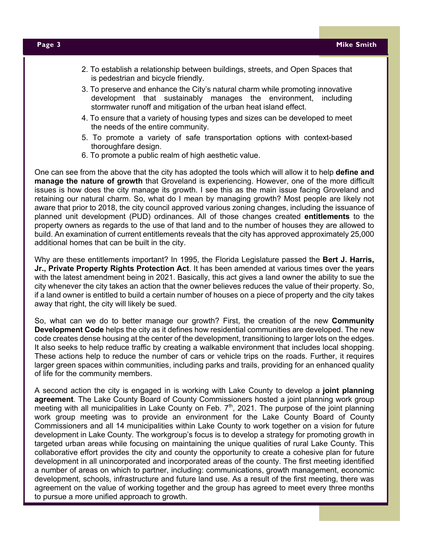- 2. To establish a relationship between buildings, streets, and Open Spaces that is pedestrian and bicycle friendly.
- 3. To preserve and enhance the City's natural charm while promoting innovative development that sustainably manages the environment, including stormwater runoff and mitigation of the urban heat island effect.
- 4. To ensure that a variety of housing types and sizes can be developed to meet the needs of the entire community.
- 5. To promote a variety of safe transportation options with context-based thoroughfare design.
- 6. To promote a public realm of high aesthetic value.

One can see from the above that the city has adopted the tools which will allow it to help **define and manage the nature of growth** that Groveland is experiencing. However, one of the more difficult issues is how does the city manage its growth. I see this as the main issue facing Groveland and retaining our natural charm. So, what do I mean by managing growth? Most people are likely not aware that prior to 2018, the city council approved various zoning changes, including the issuance of planned unit development (PUD) ordinances. All of those changes created **entitlements** to the property owners as regards to the use of that land and to the number of houses they are allowed to build. An examination of current entitlements reveals that the city has approved approximately 25,000 additional homes that can be built in the city.

Why are these entitlements important? In 1995, the Florida Legislature passed the **Bert J. Harris, Jr., Private Property Rights Protection Act**. It has been amended at various times over the years with the latest amendment being in 2021. Basically, this act gives a land owner the ability to sue the city whenever the city takes an action that the owner believes reduces the value of their property. So, if a land owner is entitled to build a certain number of houses on a piece of property and the city takes away that right, the city will likely be sued.

So, what can we do to better manage our growth? First, the creation of the new **Community Development Code** helps the city as it defines how residential communities are developed. The new code creates dense housing at the center of the development, transitioning to larger lots on the edges. It also seeks to help reduce traffic by creating a walkable environment that includes local shopping. These actions help to reduce the number of cars or vehicle trips on the roads. Further, it requires larger green spaces within communities, including parks and trails, providing for an enhanced quality of life for the community members.

A second action the city is engaged in is working with Lake County to develop a **joint planning agreement**. The Lake County Board of County Commissioners hosted a joint planning work group meeting with all municipalities in Lake County on Feb.  $7<sup>th</sup>$ , 2021. The purpose of the joint planning work group meeting was to provide an environment for the Lake County Board of County Commissioners and all 14 municipalities within Lake County to work together on a vision for future development in Lake County. The workgroup's focus is to develop a strategy for promoting growth in targeted urban areas while focusing on maintaining the unique qualities of rural Lake County. This collaborative effort provides the city and county the opportunity to create a cohesive plan for future development in all unincorporated and incorporated areas of the county. The first meeting identified a number of areas on which to partner, including: communications, growth management, economic development, schools, infrastructure and future land use. As a result of the first meeting, there was agreement on the value of working together and the group has agreed to meet every three months to pursue a more unified approach to growth.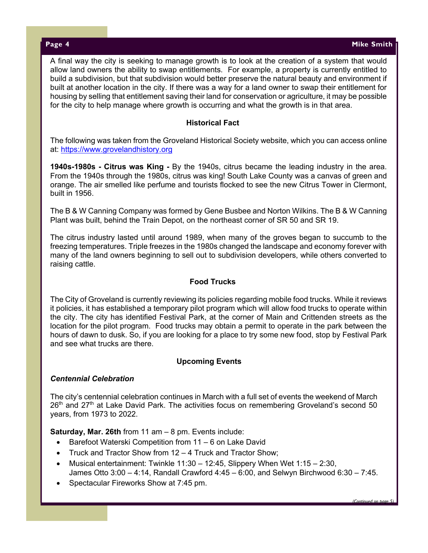*(Continued on page 5)*

A final way the city is seeking to manage growth is to look at the creation of a system that would allow land owners the ability to swap entitlements. For example, a property is currently entitled to build a subdivision, but that subdivision would better preserve the natural beauty and environment if built at another location in the city. If there was a way for a land owner to swap their entitlement for housing by selling that entitlement saving their land for conservation or agriculture, it may be possible for the city to help manage where growth is occurring and what the growth is in that area.

#### **Historical Fact**

The following was taken from the Groveland Historical Society website, which you can access online at: https://www.grovelandhistory.org

**1940s-1980s - Citrus was King -** By the 1940s, citrus became the leading industry in the area. From the 1940s through the 1980s, citrus was king! South Lake County was a canvas of green and orange. The air smelled like perfume and tourists flocked to see the new Citrus Tower in Clermont, built in 1956.

The B & W Canning Company was formed by Gene Busbee and Norton Wilkins. The B & W Canning Plant was built, behind the Train Depot, on the northeast corner of SR 50 and SR 19.

The citrus industry lasted until around 1989, when many of the groves began to succumb to the freezing temperatures. Triple freezes in the 1980s changed the landscape and economy forever with many of the land owners beginning to sell out to subdivision developers, while others converted to raising cattle.

#### **Food Trucks**

The City of Groveland is currently reviewing its policies regarding mobile food trucks. While it reviews it policies, it has established a temporary pilot program which will allow food trucks to operate within the city. The city has identified Festival Park, at the corner of Main and Crittenden streets as the location for the pilot program. Food trucks may obtain a permit to operate in the park between the hours of dawn to dusk. So, if you are looking for a place to try some new food, stop by Festival Park and see what trucks are there.

#### **Upcoming Events**

#### *Centennial Celebration*

The city's centennial celebration continues in March with a full set of events the weekend of March  $26<sup>th</sup>$  and  $27<sup>th</sup>$  at Lake David Park. The activities focus on remembering Groveland's second 50 years, from 1973 to 2022.

**Saturday, Mar. 26th** from 11 am – 8 pm. Events include:

- Barefoot Waterski Competition from 11 6 on Lake David
- Truck and Tractor Show from  $12 4$  Truck and Tractor Show;
- Musical entertainment: Twinkle  $11:30 12:45$ , Slippery When Wet  $1:15 2:30$ , James Otto 3:00 – 4:14, Randall Crawford 4:45 – 6:00, and Selwyn Birchwood 6:30 – 7:45.
- Spectacular Fireworks Show at 7:45 pm.